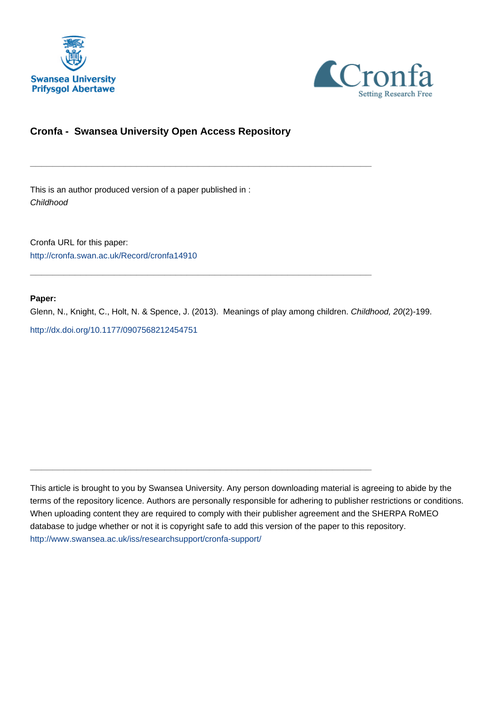



# **Cronfa - Swansea University Open Access Repository**

\_\_\_\_\_\_\_\_\_\_\_\_\_\_\_\_\_\_\_\_\_\_\_\_\_\_\_\_\_\_\_\_\_\_\_\_\_\_\_\_\_\_\_\_\_\_\_\_\_\_\_\_\_\_\_\_\_\_\_\_\_

 $\_$  , and the set of the set of the set of the set of the set of the set of the set of the set of the set of the set of the set of the set of the set of the set of the set of the set of the set of the set of the set of th

\_\_\_\_\_\_\_\_\_\_\_\_\_\_\_\_\_\_\_\_\_\_\_\_\_\_\_\_\_\_\_\_\_\_\_\_\_\_\_\_\_\_\_\_\_\_\_\_\_\_\_\_\_\_\_\_\_\_\_\_\_

This is an author produced version of a paper published in : Childhood

Cronfa URL for this paper: <http://cronfa.swan.ac.uk/Record/cronfa14910>

#### **Paper:**

Glenn, N., Knight, C., Holt, N. & Spence, J. (2013). Meanings of play among children. Childhood, 20(2)-199. <http://dx.doi.org/10.1177/0907568212454751>

This article is brought to you by Swansea University. Any person downloading material is agreeing to abide by the terms of the repository licence. Authors are personally responsible for adhering to publisher restrictions or conditions. When uploading content they are required to comply with their publisher agreement and the SHERPA RoMEO database to judge whether or not it is copyright safe to add this version of the paper to this repository. [http://www.swansea.ac.uk/iss/researchsupport/cronfa-support/](http://www.swansea.ac.uk/iss/researchsupport/cronfa-support/ )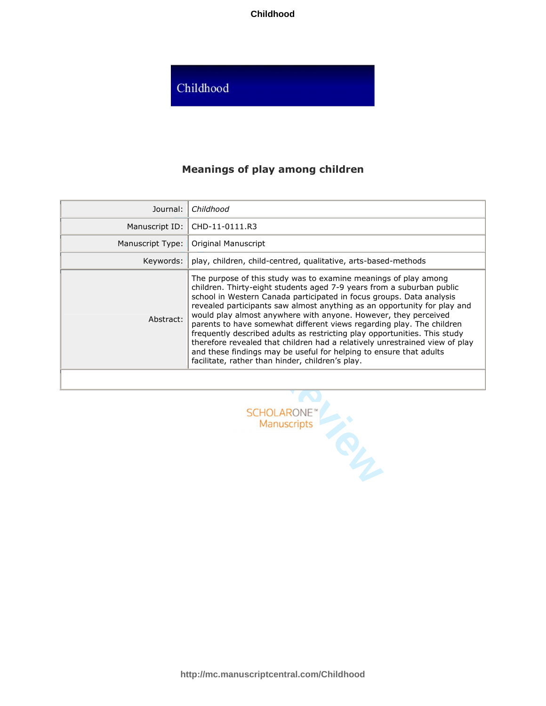**Childhood**

# Childhood

# **Meanings of play among children**

| Journal:         | Childhood                                                                                                                                                                                                                                                                                                                                                                                                                                                                                                                                                                                                                                                                                                                      |
|------------------|--------------------------------------------------------------------------------------------------------------------------------------------------------------------------------------------------------------------------------------------------------------------------------------------------------------------------------------------------------------------------------------------------------------------------------------------------------------------------------------------------------------------------------------------------------------------------------------------------------------------------------------------------------------------------------------------------------------------------------|
| Manuscript ID:   | CHD-11-0111.R3                                                                                                                                                                                                                                                                                                                                                                                                                                                                                                                                                                                                                                                                                                                 |
| Manuscript Type: | Original Manuscript                                                                                                                                                                                                                                                                                                                                                                                                                                                                                                                                                                                                                                                                                                            |
| Keywords:        | play, children, child-centred, qualitative, arts-based-methods                                                                                                                                                                                                                                                                                                                                                                                                                                                                                                                                                                                                                                                                 |
| Abstract:        | The purpose of this study was to examine meanings of play among<br>children. Thirty-eight students aged 7-9 years from a suburban public<br>school in Western Canada participated in focus groups. Data analysis<br>revealed participants saw almost anything as an opportunity for play and<br>would play almost anywhere with anyone. However, they perceived<br>parents to have somewhat different views regarding play. The children<br>frequently described adults as restricting play opportunities. This study<br>therefore revealed that children had a relatively unrestrained view of play<br>and these findings may be useful for helping to ensure that adults<br>facilitate, rather than hinder, children's play. |
|                  |                                                                                                                                                                                                                                                                                                                                                                                                                                                                                                                                                                                                                                                                                                                                |

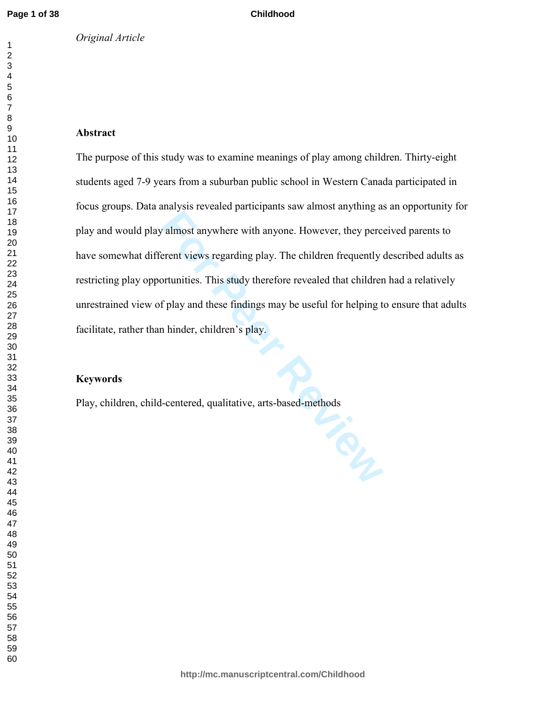#### **Childhood**

# **Abstract**

For Philippins 2.6 However, they percent views regarding play. The children frequently or<br>tunities. This study therefore revealed that children<br>primarities. This study therefore revealed that children<br>f play and these find The purpose of this study was to examine meanings of play among children. Thirty-eight students aged 7-9 years from a suburban public school in Western Canada participated in focus groups. Data analysis revealed participants saw almost anything as an opportunity for play and would play almost anywhere with anyone. However, they perceived parents to have somewhat different views regarding play. The children frequently described adults as restricting play opportunities. This study therefore revealed that children had a relatively unrestrained view of play and these findings may be useful for helping to ensure that adults facilitate, rather than hinder, children's play.

# **Keywords**

Play, children, child-centered, qualitative, arts-based-methods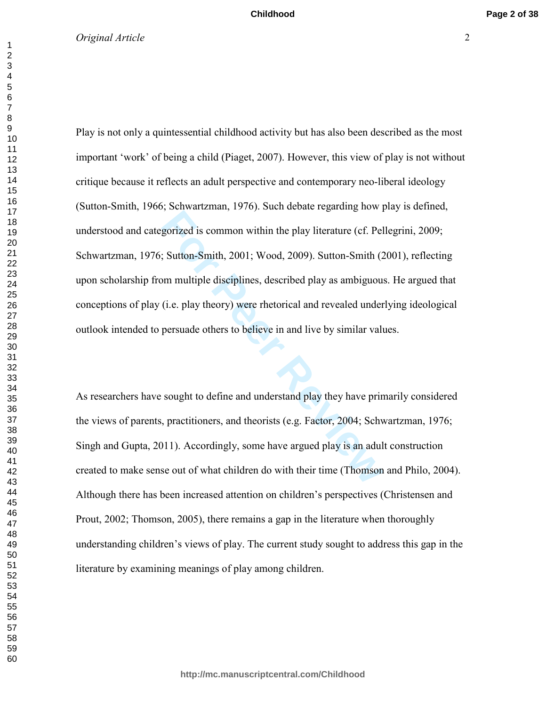For Petral Letter Pystern Petral Petral Petral Petral Petral Petral Petral Petral Petral Petral Petral Petral<br>
For Smith, 2001; Wood, 2009). Sutton-Smith (2<br>
For Petral and Petral Petral Petral Petral Community<br>
(i.e. play Play is not only a quintessential childhood activity but has also been described as the most important 'work' of being a child (Piaget, 2007). However, this view of play is not without critique because it reflects an adult perspective and contemporary neo-liberal ideology (Sutton-Smith, 1966; Schwartzman, 1976). Such debate regarding how play is defined, understood and categorized is common within the play literature (cf. Pellegrini, 2009; Schwartzman, 1976; Sutton-Smith, 2001; Wood, 2009). Sutton-Smith (2001), reflecting upon scholarship from multiple disciplines, described play as ambiguous. He argued that conceptions of play (i.e. play theory) were rhetorical and revealed underlying ideological outlook intended to persuade others to believe in and live by similar values.

As researchers have sought to define and understand play they have primarily considered the views of parents, practitioners, and theorists (e.g. Factor, 2004; Schwartzman, 1976; Singh and Gupta, 2011). Accordingly, some have argued play is an adult construction created to make sense out of what children do with their time (Thomson and Philo, 2004). Although there has been increased attention on children's perspectives (Christensen and Prout, 2002; Thomson, 2005), there remains a gap in the literature when thoroughly understanding children's views of play. The current study sought to address this gap in the literature by examining meanings of play among children.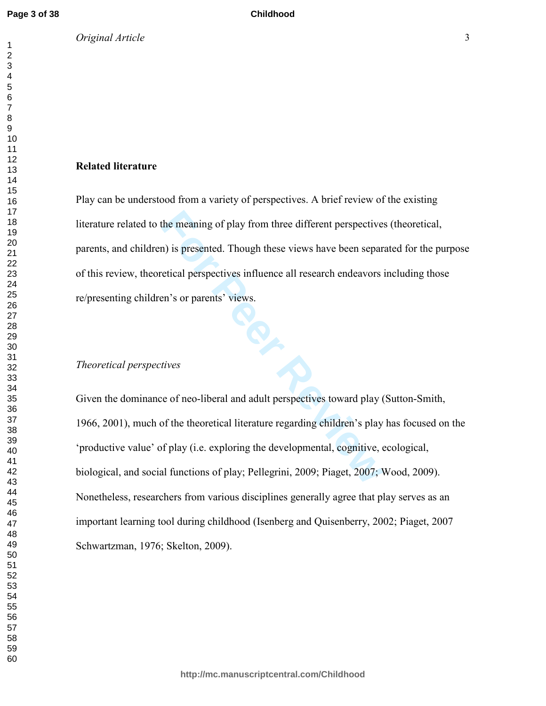*Original Article* 3

#### **Related literature**

Play can be understood from a variety of perspectives. A brief review of the existing literature related to the meaning of play from three different perspectives (theoretical, parents, and children) is presented. Though these views have been separated for the purpose of this review, theoretical perspectives influence all research endeavors including those re/presenting children's or parents' views.

#### *Theoretical perspectives*

**For Peer Review** Given the dominance of neo-liberal and adult perspectives toward play (Sutton-Smith, 1966, 2001), much of the theoretical literature regarding children's play has focused on the 'productive value' of play (i.e. exploring the developmental, cognitive, ecological, biological, and social functions of play; Pellegrini, 2009; Piaget, 2007; Wood, 2009). Nonetheless, researchers from various disciplines generally agree that play serves as an important learning tool during childhood (Isenberg and Quisenberry, 2002; Piaget, 2007 Schwartzman, 1976; Skelton, 2009).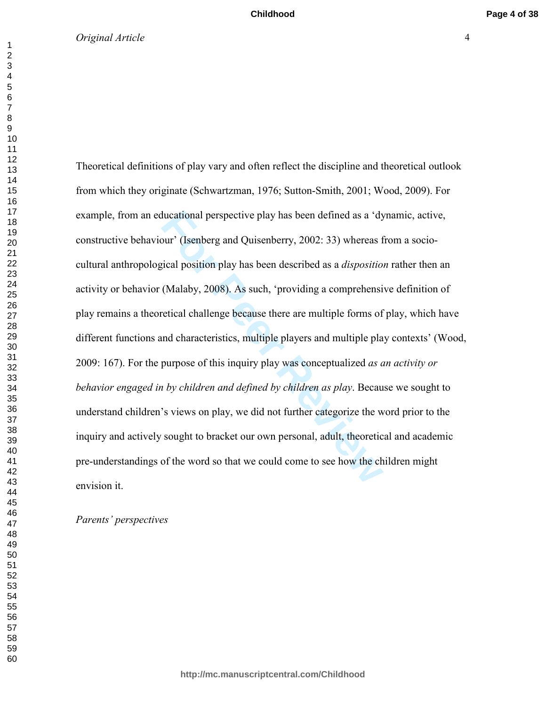ducational perspective play has been defined as a 'dy<br>bur' (Isenberg and Quisenberry, 2002: 33) whereas f<br>itical position play has been described as a *dispositio*.<br>(Malaby, 2008). As such, 'providing a comprehensi<br>retical Theoretical definitions of play vary and often reflect the discipline and theoretical outlook from which they originate (Schwartzman, 1976; Sutton-Smith, 2001; Wood, 2009). For example, from an educational perspective play has been defined as a 'dynamic, active, constructive behaviour' (Isenberg and Quisenberry, 2002: 33) whereas from a sociocultural anthropological position play has been described as a *disposition* rather then an activity or behavior (Malaby, 2008). As such, 'providing a comprehensive definition of play remains a theoretical challenge because there are multiple forms of play, which have different functions and characteristics, multiple players and multiple play contexts' (Wood, 2009: 167). For the purpose of this inquiry play was conceptualized *as an activity or behavior engaged in by children and defined by children as play*. Because we sought to understand children's views on play, we did not further categorize the word prior to the inquiry and actively sought to bracket our own personal, adult, theoretical and academic pre-understandings of the word so that we could come to see how the children might envision it.

### *Parents' perspectives*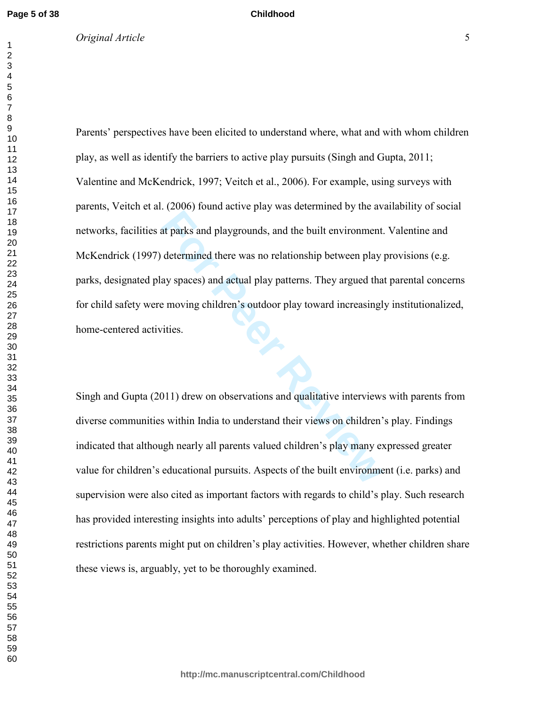*Original Article* 5

#### **Childhood**

**EXECT AND FORMAL AND CONSUMIDE AND ADMOKED AND ADDEDED AND ADDEDED AND ADDEDED AND AN ART ADDED AND AN AN AN APPROXIMAL SURVEY AND AN APPROXIMAL SURVEY AND SURVEY AND SURVEY AND MONOROUTING SURVEY AND MOVED AND MOVED AND** Parents' perspectives have been elicited to understand where, what and with whom children play, as well as identify the barriers to active play pursuits (Singh and Gupta, 2011; Valentine and McKendrick, 1997; Veitch et al., 2006). For example, using surveys with parents, Veitch et al. (2006) found active play was determined by the availability of social networks, facilities at parks and playgrounds, and the built environment. Valentine and McKendrick (1997) determined there was no relationship between play provisions (e.g. parks, designated play spaces) and actual play patterns. They argued that parental concerns for child safety were moving children's outdoor play toward increasingly institutionalized, home-centered activities.

Singh and Gupta (2011) drew on observations and qualitative interviews with parents from diverse communities within India to understand their views on children's play. Findings indicated that although nearly all parents valued children's play many expressed greater value for children's educational pursuits. Aspects of the built environment (i.e. parks) and supervision were also cited as important factors with regards to child's play. Such research has provided interesting insights into adults' perceptions of play and highlighted potential restrictions parents might put on children's play activities. However, whether children share these views is, arguably, yet to be thoroughly examined.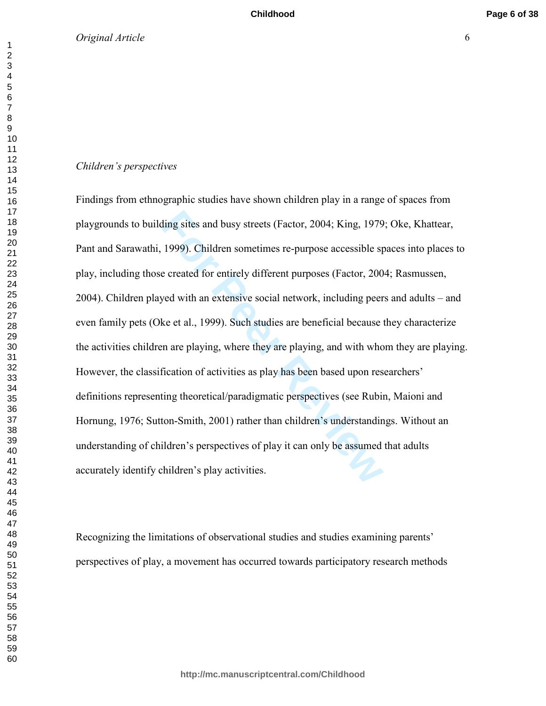#### *Children's perspectives*

ding sites and busy streets (Factor, 2004; King, 1979<br>1999). Children sometimes re-purpose accessible sp<br>e created for entirely different purposes (Factor, 200<br>yed with an extensive social network, including peer<br>ke et al. Findings from ethnographic studies have shown children play in a range of spaces from playgrounds to building sites and busy streets (Factor, 2004; King, 1979; Oke, Khattear, Pant and Sarawathi, 1999). Children sometimes re-purpose accessible spaces into places to play, including those created for entirely different purposes (Factor, 2004; Rasmussen, 2004). Children played with an extensive social network, including peers and adults – and even family pets (Oke et al., 1999). Such studies are beneficial because they characterize the activities children are playing, where they are playing, and with whom they are playing. However, the classification of activities as play has been based upon researchers' definitions representing theoretical/paradigmatic perspectives (see Rubin, Maioni and Hornung, 1976; Sutton-Smith, 2001) rather than children's understandings. Without an understanding of children's perspectives of play it can only be assumed that adults accurately identify children's play activities.

Recognizing the limitations of observational studies and studies examining parents' perspectives of play, a movement has occurred towards participatory research methods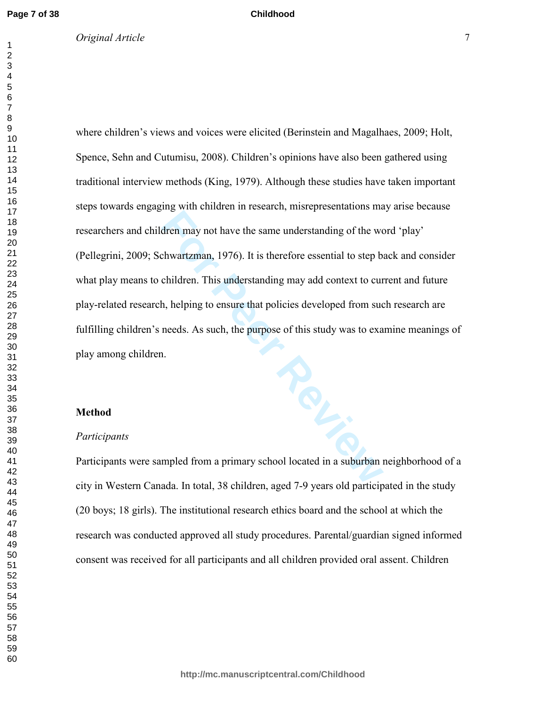# *Original Article* 7

**Childhood**

where children's views and voices were elicited (Berinstein and Magalhaes, 2009; Holt, Spence, Sehn and Cutumisu, 2008). Children's opinions have also been gathered using traditional interview methods (King, 1979). Although these studies have taken important steps towards engaging with children in research, misrepresentations may arise because researchers and children may not have the same understanding of the word 'play' (Pellegrini, 2009; Schwartzman, 1976). It is therefore essential to step back and consider what play means to children. This understanding may add context to current and future play-related research, helping to ensure that policies developed from such research are fulfilling children's needs. As such, the purpose of this study was to examine meanings of play among children.

#### **Method**

#### *Participants*

Participants were sampled from a primary school located in a suburban neighborhood of a city in Western Canada. In total, 38 children, aged 7-9 years old participated in the study (20 boys; 18 girls). The institutional research ethics board and the school at which the research was conducted approved all study procedures. Parental/guardian signed informed consent was received for all participants and all children provided oral assent. Children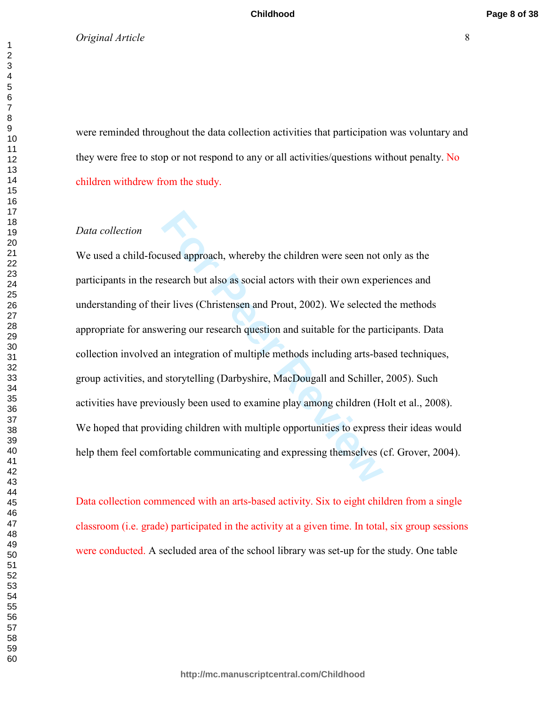**Childhood**

# *Original Article* 8

**Page 8 of 38**

were reminded throughout the data collection activities that participation was voluntary and they were free to stop or not respond to any or all activities/questions without penalty. No children withdrew from the study.

# *Data collection*

used approach, whereby the children were seen not used approach, whereby the children were seen not uses the search but also as social actors with their own experiencially in the search question and suitable for the part a We used a child-focused approach, whereby the children were seen not only as the participants in the research but also as social actors with their own experiences and understanding of their lives (Christensen and Prout, 2002). We selected the methods appropriate for answering our research question and suitable for the participants. Data collection involved an integration of multiple methods including arts-based techniques, group activities, and storytelling (Darbyshire, MacDougall and Schiller, 2005). Such activities have previously been used to examine play among children (Holt et al., 2008). We hoped that providing children with multiple opportunities to express their ideas would help them feel comfortable communicating and expressing themselves (cf. Grover, 2004).

Data collection commenced with an arts-based activity. Six to eight children from a single classroom (i.e. grade) participated in the activity at a given time. In total, six group sessions were conducted. A secluded area of the school library was set-up for the study. One table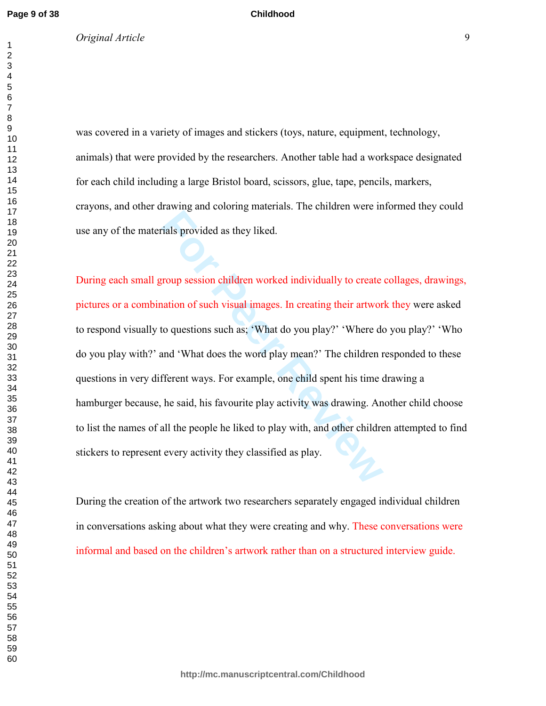*Original Article* 9

#### **Childhood**

was covered in a variety of images and stickers (toys, nature, equipment, technology, animals) that were provided by the researchers. Another table had a workspace designated for each child including a large Bristol board, scissors, glue, tape, pencils, markers, crayons, and other drawing and coloring materials. The children were informed they could use any of the materials provided as they liked.

For Peer Review and Service at the United Services in the United Services in the United Services of Services De<br> **For Peer Service Service Service Service Service Service Service Service Service Service Service Service Ser** During each small group session children worked individually to create collages, drawings, pictures or a combination of such visual images. In creating their artwork they were asked to respond visually to questions such as; 'What do you play?' 'Where do you play?' 'Who do you play with?' and 'What does the word play mean?' The children responded to these questions in very different ways. For example, one child spent his time drawing a hamburger because, he said, his favourite play activity was drawing. Another child choose to list the names of all the people he liked to play with, and other children attempted to find stickers to represent every activity they classified as play.

During the creation of the artwork two researchers separately engaged individual children in conversations asking about what they were creating and why. These conversations were informal and based on the children's artwork rather than on a structured interview guide.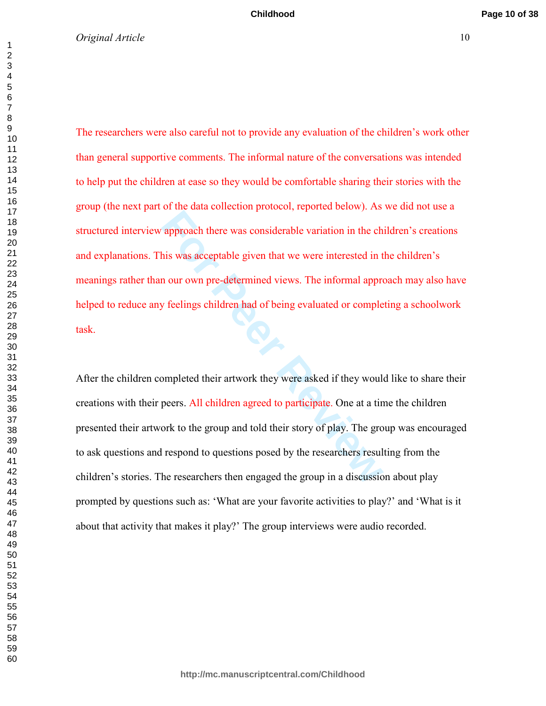**Example 19 and 2016 there was considerable variation in the ch<br>approach there was considerable variation in the ch<br>no our own pre-determined views. The informal approve<br>feelings children had of being evaluated or comple<br>y** The researchers were also careful not to provide any evaluation of the children's work other than general supportive comments. The informal nature of the conversations was intended to help put the children at ease so they would be comfortable sharing their stories with the group (the next part of the data collection protocol, reported below). As we did not use a structured interview approach there was considerable variation in the children's creations and explanations. This was acceptable given that we were interested in the children's meanings rather than our own pre-determined views. The informal approach may also have helped to reduce any feelings children had of being evaluated or completing a schoolwork task.

After the children completed their artwork they were asked if they would like to share their creations with their peers. All children agreed to participate. One at a time the children presented their artwork to the group and told their story of play. The group was encouraged to ask questions and respond to questions posed by the researchers resulting from the children's stories. The researchers then engaged the group in a discussion about play prompted by questions such as: 'What are your favorite activities to play?' and 'What is it about that activity that makes it play?' The group interviews were audio recorded.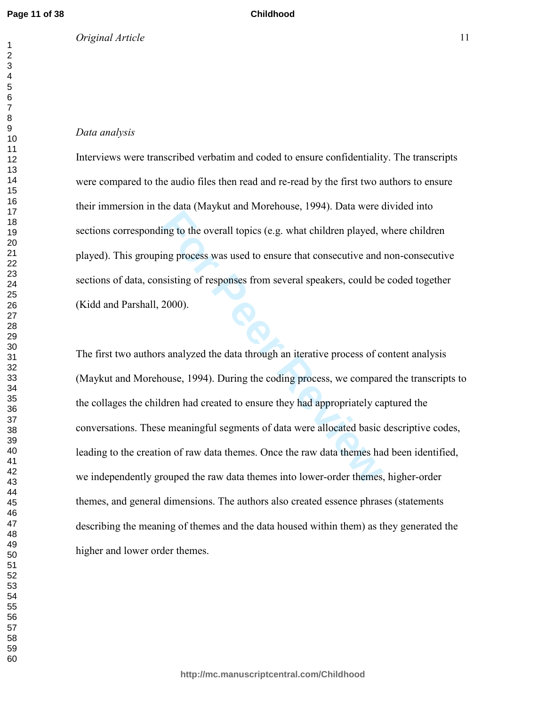*Original Article* 11

#### **Childhood**

Interviews were transcribed verbatim and coded to ensure confidentiality. The transcripts were compared to the audio files then read and re-read by the first two authors to ensure their immersion in the data (Maykut and Morehouse, 1994). Data were divided into sections corresponding to the overall topics (e.g. what children played, where children played). This grouping process was used to ensure that consecutive and non-consecutive sections of data, consisting of responses from several speakers, could be coded together (Kidd and Parshall, 2000).

**For any caught and electrons, 3777, 2 and 802**, ving to the overall topics (e.g. what children played, v<br>ing process was used to ensure that consecutive and<br>asisting of responses from several speakers, could be<br>2000).<br>So The first two authors analyzed the data through an iterative process of content analysis (Maykut and Morehouse, 1994). During the coding process, we compared the transcripts to the collages the children had created to ensure they had appropriately captured the conversations. These meaningful segments of data were allocated basic descriptive codes, leading to the creation of raw data themes. Once the raw data themes had been identified, we independently grouped the raw data themes into lower-order themes, higher-order themes, and general dimensions. The authors also created essence phrases (statements describing the meaning of themes and the data housed within them) as they generated the higher and lower order themes.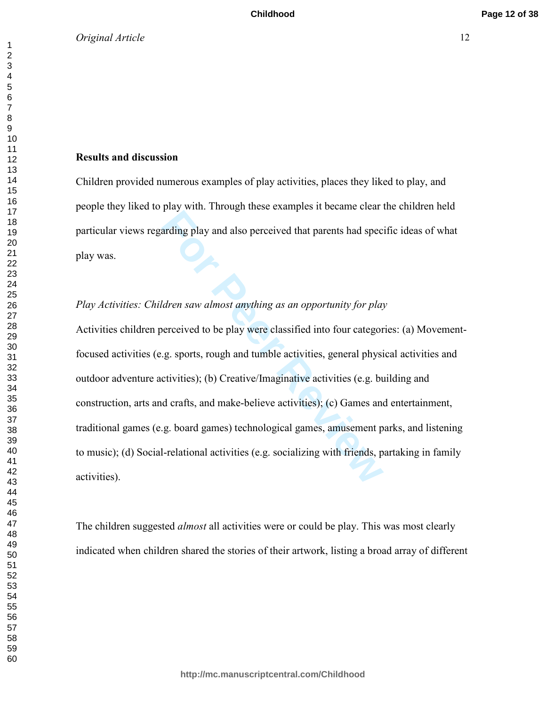# **Results and discussion**

Children provided numerous examples of play activities, places they liked to play, and people they liked to play with. Through these examples it became clear the children held particular views regarding play and also perceived that parents had specific ideas of what play was.

# *Play Activities: Children saw almost anything as an opportunity for play*

For Parameter and also perceived that parents had spectral<br>arding play and also perceived that parents had spectral<br>arding play and also perceived that parents had spectral<br>above perceived to be play were classified into f Activities children perceived to be play were classified into four categories: (a) Movementfocused activities (e.g. sports, rough and tumble activities, general physical activities and outdoor adventure activities); (b) Creative/Imaginative activities (e.g. building and construction, arts and crafts, and make-believe activities); (c) Games and entertainment, traditional games (e.g. board games) technological games, amusement parks, and listening to music); (d) Social-relational activities (e.g. socializing with friends, partaking in family activities).

The children suggested *almost* all activities were or could be play. This was most clearly indicated when children shared the stories of their artwork, listing a broad array of different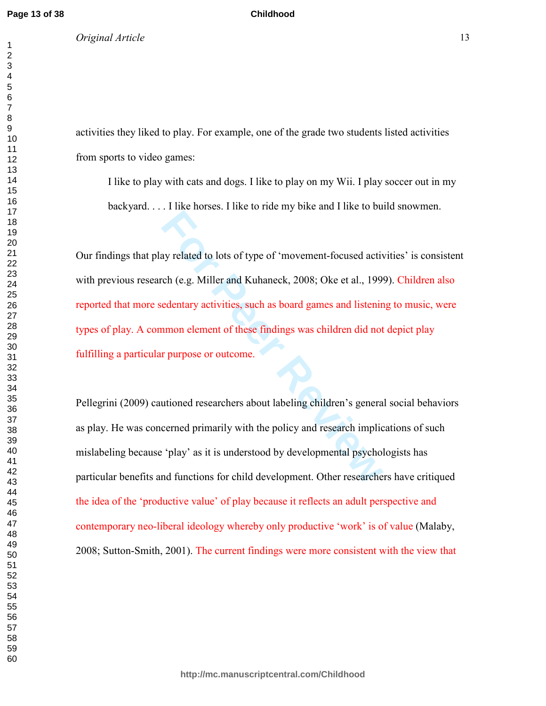*Original Article* 13

activities they liked to play. For example, one of the grade two students listed activities from sports to video games:

**Childhood**

I like to play with cats and dogs. I like to play on my Wii. I play soccer out in my backyard. . . . I like horses. I like to ride my bike and I like to build snowmen.

**Formal about time is that in y can and came to the Wester Conduct of the American Say related to lots of type of 'movement-focused actively edentary activities, such as board games and listening numon element of these fin** Our findings that play related to lots of type of 'movement-focused activities' is consistent with previous research (e.g. Miller and Kuhaneck, 2008; Oke et al., 1999). Children also reported that more sedentary activities, such as board games and listening to music, were types of play. A common element of these findings was children did not depict play fulfilling a particular purpose or outcome.

Pellegrini (2009) cautioned researchers about labeling children's general social behaviors as play. He was concerned primarily with the policy and research implications of such mislabeling because 'play' as it is understood by developmental psychologists has particular benefits and functions for child development. Other researchers have critiqued the idea of the 'productive value' of play because it reflects an adult perspective and contemporary neo-liberal ideology whereby only productive 'work' is of value (Malaby, 2008; Sutton-Smith, 2001). The current findings were more consistent with the view that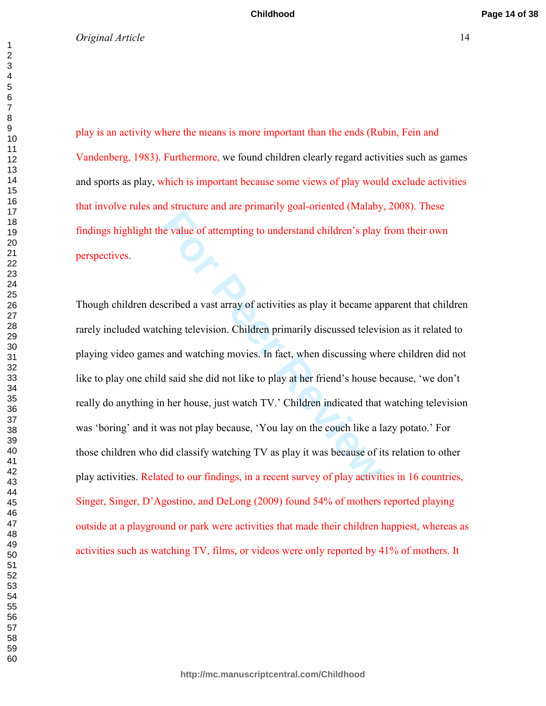play is an activity where the means is more important than the ends (Rubin, Fein and Vandenberg, 1983). Furthermore, we found children clearly regard activities such as games and sports as play, which is important because some views of play would exclude activities that involve rules and structure and are primarily goal-oriented (Malaby, 2008). These findings highlight the value of attempting to understand children's play from their own perspectives.

**For Perican Constant Control Control (Fig. 2)**<br> **For Perican Constant Constant Constant**<br> **For Perican Constant Constant Constant**<br> **For Perican Constant Constant**<br> **For Perican Constant Constant**<br> **For Perican Constant C** Though children described a vast array of activities as play it became apparent that children rarely included watching television. Children primarily discussed television as it related to playing video games and watching movies. In fact, when discussing where children did not like to play one child said she did not like to play at her friend's house because, 'we don't really do anything in her house, just watch TV.' Children indicated that watching television was 'boring' and it was not play because, 'You lay on the couch like a lazy potato.' For those children who did classify watching TV as play it was because of its relation to other play activities. Related to our findings, in a recent survey of play activities in 16 countries, Singer, Singer, D'Agostino, and DeLong (2009) found 54% of mothers reported playing outside at a playground or park were activities that made their children happiest, whereas as activities such as watching TV, films, or videos were only reported by 41% of mothers. It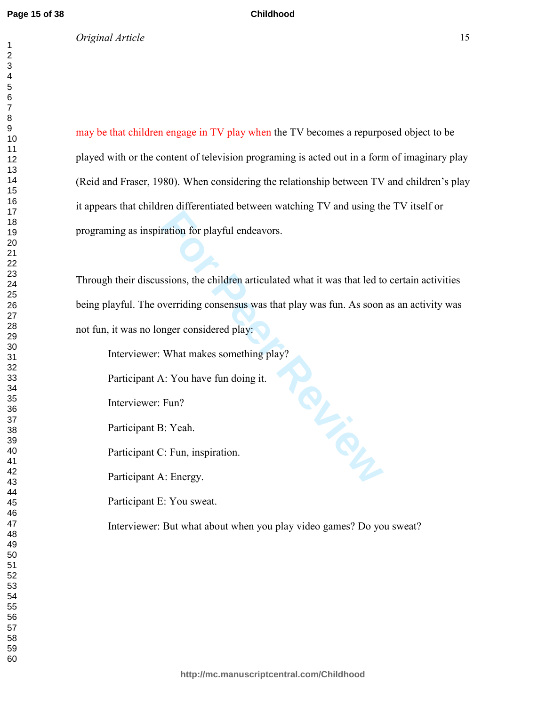*Original Article* 15

may be that children engage in TV play when the TV becomes a repurposed object to be played with or the content of television programing is acted out in a form of imaginary play (Reid and Fraser, 1980). When considering the relationship between TV and children's play it appears that children differentiated between watching TV and using the TV itself or programing as inspiration for playful endeavors.

**Childhood**

Through their discussions, the children articulated what it was that led to certain activities being playful. The overriding consensus was that play was fun. As soon as an activity was not fun, it was no longer considered play:

Interviewer: What makes something play?

Participant A: You have fun doing it.

Interviewer: Fun?

Participant B: Yeah.

Participant C: Fun, inspiration.

Participant A: Energy.

Participant E: You sweat.

Interviewer: But what about when you play video games? Do you sweat?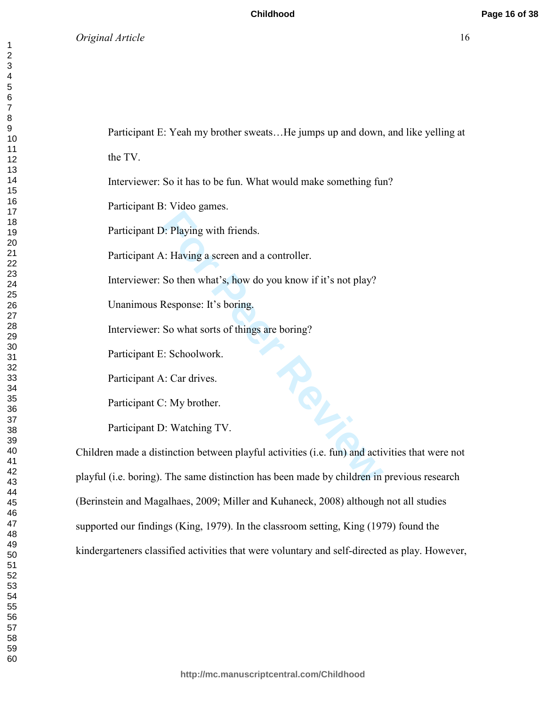Participant E: Yeah my brother sweats…He jumps up and down, and like yelling at

the TV.

Interviewer: So it has to be fun. What would make something fun?

Participant B: Video games.

Participant D: Playing with friends.

Participant A: Having a screen and a controller.

Interviewer: So then what's, how do you know if it's not play?

Unanimous Response: It's boring.

Interviewer: So what sorts of things are boring?

Participant E: Schoolwork.

Participant A: Car drives.

Participant C: My brother.

Participant D: Watching TV.

Children made a distinction between playful activities (i.e. fun) and activities that were not playful (i.e. boring). The same distinction has been made by children in previous research (Berinstein and Magalhaes, 2009; Miller and Kuhaneck, 2008) although not all studies supported our findings (King, 1979). In the classroom setting, King (1979) found the kindergarteners classified activities that were voluntary and self-directed as play. However,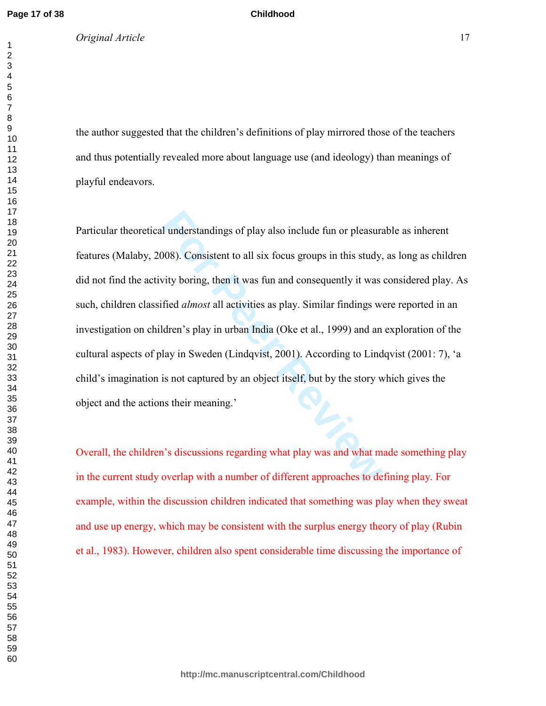*Original Article* 17

the author suggested that the children's definitions of play mirrored those of the teachers and thus potentially revealed more about language use (and ideology) than meanings of playful endeavors.

**Childhood**

I understandings of play also include fun or pleasure<br>1008). Consistent to all six focus groups in this study,<br>vity boring, then it was fun and consequently it was<br>fied *almost* all activities as play. Similar findings we<br> Particular theoretical understandings of play also include fun or pleasurable as inherent features (Malaby, 2008). Consistent to all six focus groups in this study, as long as children did not find the activity boring, then it was fun and consequently it was considered play. As such, children classified *almost* all activities as play. Similar findings were reported in an investigation on children's play in urban India (Oke et al., 1999) and an exploration of the cultural aspects of play in Sweden (Lindqvist, 2001). According to Lindqvist (2001: 7), 'a child's imagination is not captured by an object itself, but by the story which gives the object and the actions their meaning.'

Overall, the children's discussions regarding what play was and what made something play in the current study overlap with a number of different approaches to defining play. For example, within the discussion children indicated that something was play when they sweat and use up energy, which may be consistent with the surplus energy theory of play (Rubin et al., 1983). However, children also spent considerable time discussing the importance of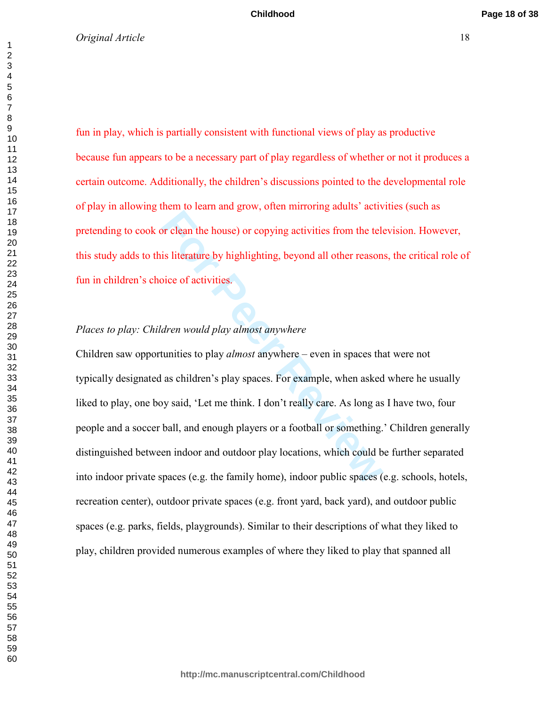fun in play, which is partially consistent with functional views of play as productive because fun appears to be a necessary part of play regardless of whether or not it produces a certain outcome. Additionally, the children's discussions pointed to the developmental role of play in allowing them to learn and grow, often mirroring adults' activities (such as pretending to cook or clean the house) or copying activities from the television. However, this study adds to this literature by highlighting, beyond all other reasons, the critical role of fun in children's choice of activities.

# *Places to play: Children would play almost anywhere*

For Pean the house) or copying activities from the telements is literature by highlighting, beyond all other reason<br>bice of activities.<br>*Aren would play almost anywhere*<br>tunities to play *almost anywhere* – even in spaces Children saw opportunities to play *almost* anywhere – even in spaces that were not typically designated as children's play spaces. For example, when asked where he usually liked to play, one boy said, 'Let me think. I don't really care. As long as I have two, four people and a soccer ball, and enough players or a football or something.' Children generally distinguished between indoor and outdoor play locations, which could be further separated into indoor private spaces (e.g. the family home), indoor public spaces (e.g. schools, hotels, recreation center), outdoor private spaces (e.g. front yard, back yard), and outdoor public spaces (e.g. parks, fields, playgrounds). Similar to their descriptions of what they liked to play, children provided numerous examples of where they liked to play that spanned all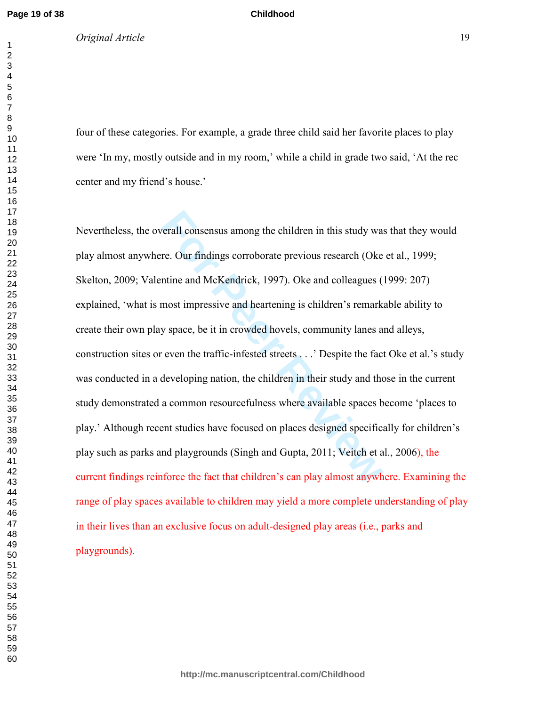four of these categories. For example, a grade three child said her favorite places to play were 'In my, mostly outside and in my room,' while a child in grade two said, 'At the rec center and my friend's house.'

**Childhood**

For Perall consensus among the children in this study was<br> **For Perall consensus among the children** in this study was<br> **For Peraltic Exercity** Colventine and McKendrick, 1997). Oke and colleagues (<br> **For Peraltic Peraltic** Nevertheless, the overall consensus among the children in this study was that they would play almost anywhere. Our findings corroborate previous research (Oke et al., 1999; Skelton, 2009; Valentine and McKendrick, 1997). Oke and colleagues (1999: 207) explained, 'what is most impressive and heartening is children's remarkable ability to create their own play space, be it in crowded hovels, community lanes and alleys, construction sites or even the traffic-infested streets . . .' Despite the fact Oke et al.'s study was conducted in a developing nation, the children in their study and those in the current study demonstrated a common resourcefulness where available spaces become 'places to play.' Although recent studies have focused on places designed specifically for children's play such as parks and playgrounds (Singh and Gupta, 2011; Veitch et al., 2006), the current findings reinforce the fact that children's can play almost anywhere. Examining the range of play spaces available to children may yield a more complete understanding of play in their lives than an exclusive focus on adult-designed play areas (i.e., parks and playgrounds).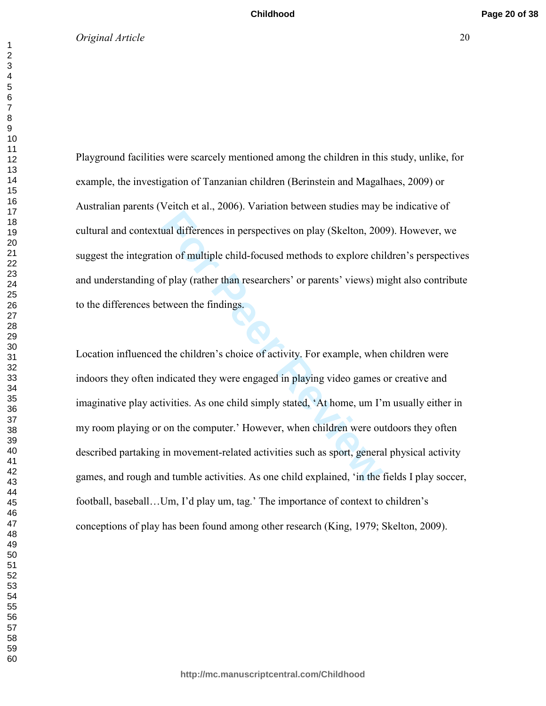Playground facilities were scarcely mentioned among the children in this study, unlike, for example, the investigation of Tanzanian children (Berinstein and Magalhaes, 2009) or Australian parents (Veitch et al., 2006). Variation between studies may be indicative of cultural and contextual differences in perspectives on play (Skelton, 2009). However, we suggest the integration of multiple child-focused methods to explore children's perspectives and understanding of play (rather than researchers' or parents' views) might also contribute to the differences between the findings.

**Formal Principle Properties on play (Skelton, 200** on of multiple child-focused methods to explore child f play (rather than researchers' or parents' views) m tween the findings.<br>
tween the findings.<br>
the children's choic Location influenced the children's choice of activity. For example, when children were indoors they often indicated they were engaged in playing video games or creative and imaginative play activities. As one child simply stated, 'At home, um I'm usually either in my room playing or on the computer.' However, when children were outdoors they often described partaking in movement-related activities such as sport, general physical activity games, and rough and tumble activities. As one child explained, 'in the fields I play soccer, football, baseball…Um, I'd play um, tag.' The importance of context to children's conceptions of play has been found among other research (King, 1979; Skelton, 2009).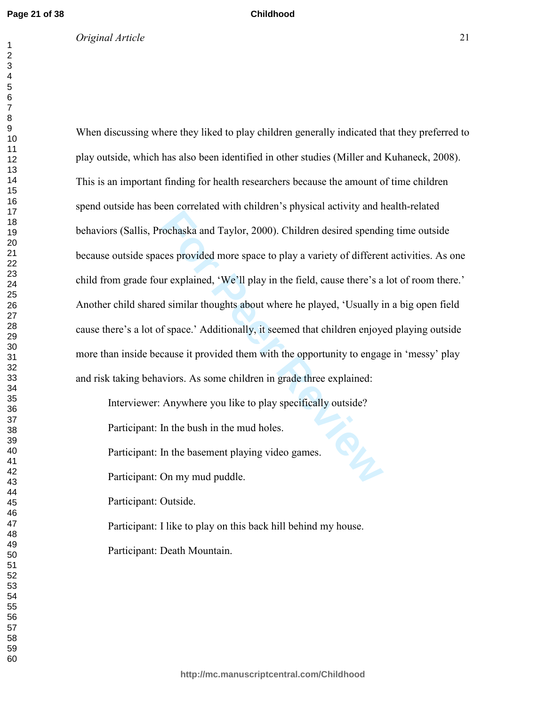# *Original Article* 21

# When discussing where they liked to play children generally indicated that they preferred to play outside, which has also been identified in other studies (Miller and Kuhaneck, 2008).

**Childhood**

For Persantian Him Himston P<sub>P</sub> projects and top and a<br>cochaska and Taylor, 2000). Children desired spendinces provided more space to play a variety of different<br>in explained, 'We'll play in the field, cause there's a<br>d si This is an important finding for health researchers because the amount of time children spend outside has been correlated with children's physical activity and health-related behaviors (Sallis, Prochaska and Taylor, 2000). Children desired spending time outside because outside spaces provided more space to play a variety of different activities. As one child from grade four explained, 'We'll play in the field, cause there's a lot of room there.' Another child shared similar thoughts about where he played, 'Usually in a big open field cause there's a lot of space.' Additionally, it seemed that children enjoyed playing outside more than inside because it provided them with the opportunity to engage in 'messy' play and risk taking behaviors. As some children in grade three explained:

Interviewer: Anywhere you like to play specifically outside? Participant: In the bush in the mud holes.

Participant: In the basement playing video games.

Participant: On my mud puddle.

Participant: Outside.

Participant: I like to play on this back hill behind my house.

Participant: Death Mountain.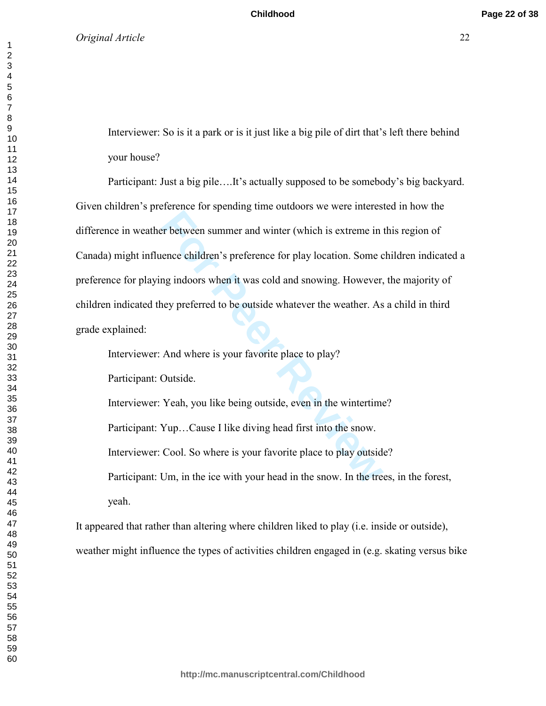Interviewer: So is it a park or is it just like a big pile of dirt that's left there behind your house?

Frequence of the printing mine children in the function<br>Frequence entildren's preference for play location. Some comparisons when it was cold and snowing. However,<br>ney preferred to be outside whatever the weather. As<br>And w Participant: Just a big pile….It's actually supposed to be somebody's big backyard. Given children's preference for spending time outdoors we were interested in how the difference in weather between summer and winter (which is extreme in this region of Canada) might influence children's preference for play location. Some children indicated a preference for playing indoors when it was cold and snowing. However, the majority of children indicated they preferred to be outside whatever the weather. As a child in third grade explained:

Interviewer: And where is your favorite place to play?

Participant: Outside.

Interviewer: Yeah, you like being outside, even in the wintertime?

Participant: Yup…Cause I like diving head first into the snow.

Interviewer: Cool. So where is your favorite place to play outside?

Participant: Um, in the ice with your head in the snow. In the trees, in the forest, yeah.

It appeared that rather than altering where children liked to play (i.e. inside or outside), weather might influence the types of activities children engaged in (e.g. skating versus bike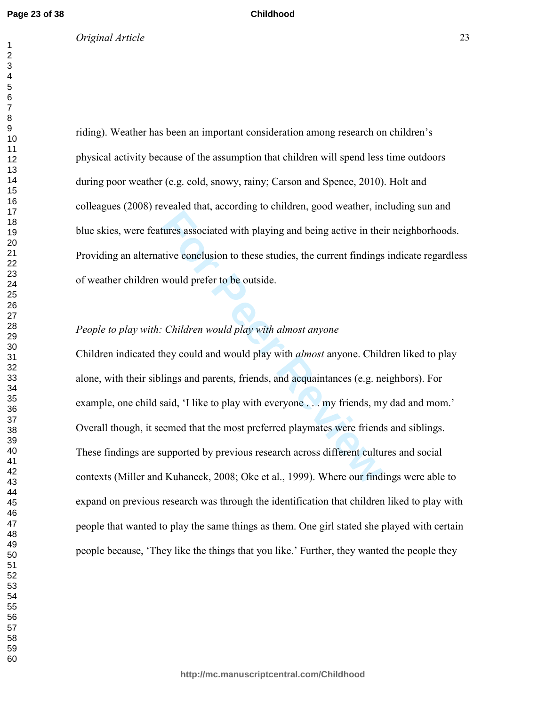#### *Original Article* 23

riding). Weather has been an important consideration among research on children's physical activity because of the assumption that children will spend less time outdoors during poor weather (e.g. cold, snowy, rainy; Carson and Spence, 2010). Holt and colleagues (2008) revealed that, according to children, good weather, including sun and blue skies, were features associated with playing and being active in their neighborhoods. Providing an alternative conclusion to these studies, the current findings indicate regardless of weather children would prefer to be outside.

**Childhood**

#### *People to play with: Children would play with almost anyone*

**For Person and Secure Property Controllers** and being active in the titve conclusion to these studies, the current findings would prefer to be outside.<br> **For Peer Reviews** Constant Constant Constant Constant Constant Cons Children indicated they could and would play with *almost* anyone. Children liked to play alone, with their siblings and parents, friends, and acquaintances (e.g. neighbors). For example, one child said, 'I like to play with everyone . . . my friends, my dad and mom.' Overall though, it seemed that the most preferred playmates were friends and siblings. These findings are supported by previous research across different cultures and social contexts (Miller and Kuhaneck, 2008; Oke et al., 1999). Where our findings were able to expand on previous research was through the identification that children liked to play with people that wanted to play the same things as them. One girl stated she played with certain people because, 'They like the things that you like.' Further, they wanted the people they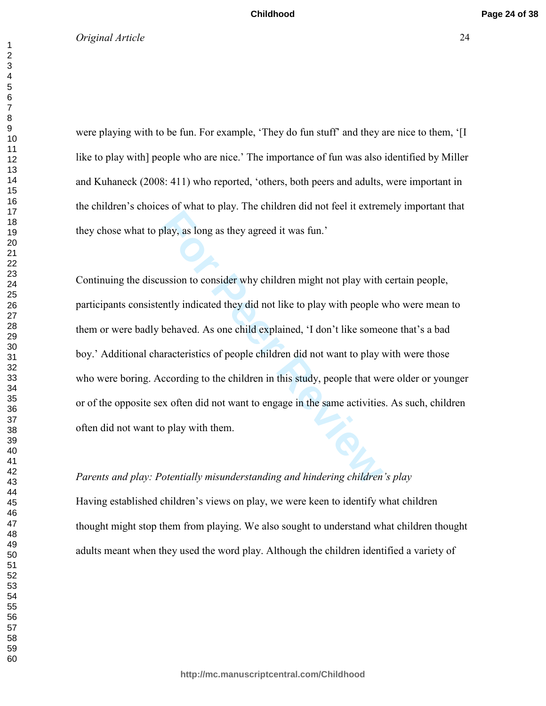#### **Childhood**

# *Original Article* 24

were playing with to be fun. For example, 'They do fun stuff' and they are nice to them, '[I like to play with] people who are nice.' The importance of fun was also identified by Miller and Kuhaneck (2008: 411) who reported, 'others, both peers and adults, were important in the children's choices of what to play. The children did not feel it extremely important that they chose what to play, as long as they agreed it was fun.'

**For Personal Apple 2014 and the set of the Shannon Apple 10.**<br> **For Personal Apple 2014** and the set of the Mathematical Shane Shane Shane Shane Shane Shane Shane Shane Shane Shane Shane Shane Shane Shane Shane Shane Shan Continuing the discussion to consider why children might not play with certain people, participants consistently indicated they did not like to play with people who were mean to them or were badly behaved. As one child explained, 'I don't like someone that's a bad boy.' Additional characteristics of people children did not want to play with were those who were boring. According to the children in this study, people that were older or younger or of the opposite sex often did not want to engage in the same activities. As such, children often did not want to play with them.

# *Parents and play: Potentially misunderstanding and hindering children's play*

Having established children's views on play, we were keen to identify what children thought might stop them from playing. We also sought to understand what children thought adults meant when they used the word play. Although the children identified a variety of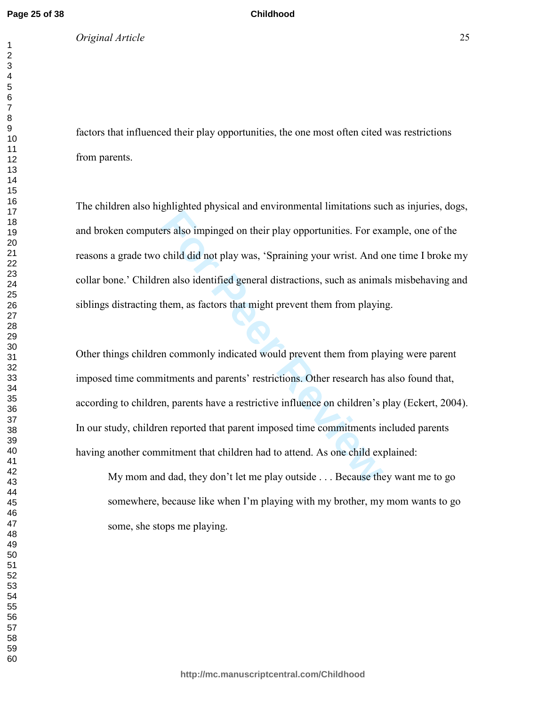*Original Article* 25

factors that influenced their play opportunities, the one most often cited was restrictions from parents.

**Childhood**

The children also highlighted physical and environmental limitations such as injuries, dogs, and broken computers also impinged on their play opportunities. For example, one of the reasons a grade two child did not play was, 'Spraining your wrist. And one time I broke my collar bone.' Children also identified general distractions, such as animals misbehaving and siblings distracting them, as factors that might prevent them from playing.

For also impinged on their play opportunities. For exactively did not play was, 'Spraining your wrist. And can also identified general distractions, such as animal them, as factors that might prevent them from playing them Other things children commonly indicated would prevent them from playing were parent imposed time commitments and parents' restrictions. Other research has also found that, according to children, parents have a restrictive influence on children's play (Eckert, 2004). In our study, children reported that parent imposed time commitments included parents having another commitment that children had to attend. As one child explained:

My mom and dad, they don't let me play outside . . . Because they want me to go somewhere, because like when I'm playing with my brother, my mom wants to go some, she stops me playing.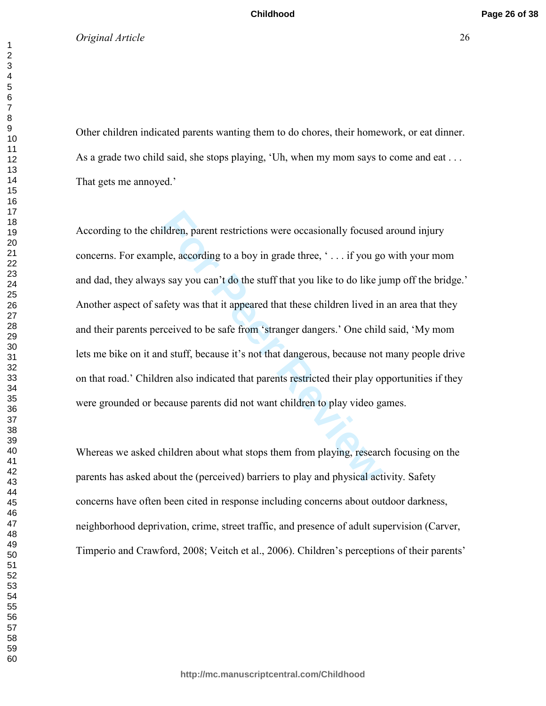**Childhood**

#### *Original Article* 26

Other children indicated parents wanting them to do chores, their homework, or eat dinner. As a grade two child said, she stops playing, 'Uh, when my mom says to come and eat . . . That gets me annoyed.'

ildren, parent restrictions were occasionally focused<br>ple, according to a boy in grade three, '... if you go<br>s say you can't do the stuff that you like to do like ju<br>fety was that it appeared that these children lived in<br>r According to the children, parent restrictions were occasionally focused around injury concerns. For example, according to a boy in grade three, ' . . . if you go with your mom and dad, they always say you can't do the stuff that you like to do like jump off the bridge.' Another aspect of safety was that it appeared that these children lived in an area that they and their parents perceived to be safe from 'stranger dangers.' One child said, 'My mom lets me bike on it and stuff, because it's not that dangerous, because not many people drive on that road.' Children also indicated that parents restricted their play opportunities if they were grounded or because parents did not want children to play video games.

Whereas we asked children about what stops them from playing, research focusing on the parents has asked about the (perceived) barriers to play and physical activity. Safety concerns have often been cited in response including concerns about outdoor darkness, neighborhood deprivation, crime, street traffic, and presence of adult supervision (Carver, Timperio and Crawford, 2008; Veitch et al., 2006). Children's perceptions of their parents'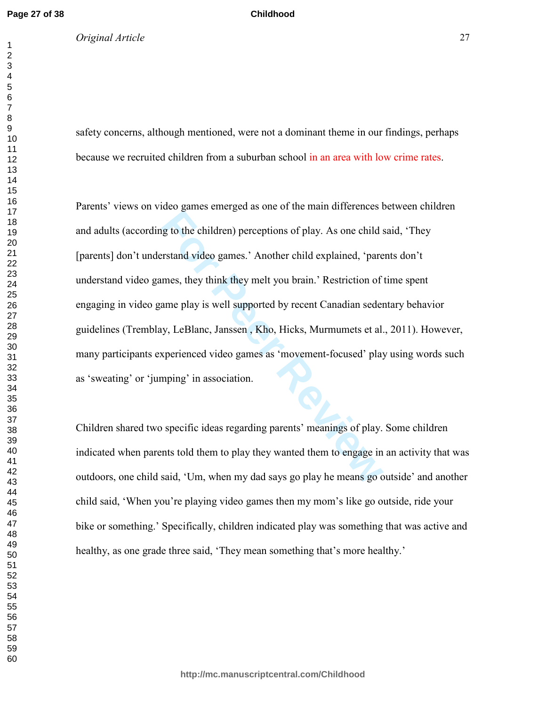#### *Original Article* 27

safety concerns, although mentioned, were not a dominant theme in our findings, perhaps because we recruited children from a suburban school in an area with low crime rates.

**Childhood**

For Building and the transfer and anti-transfer and the computer of play. As one child spread of the child explained, 'pare mes, they think they melt you brain.' Restriction of ame play is well supported by recent Canadian Parents' views on video games emerged as one of the main differences between children and adults (according to the children) perceptions of play. As one child said, 'They [parents] don't understand video games.' Another child explained, 'parents don't understand video games, they think they melt you brain.' Restriction of time spent engaging in video game play is well supported by recent Canadian sedentary behavior guidelines (Tremblay, LeBlanc, Janssen , Kho, Hicks, Murmumets et al., 2011). However, many participants experienced video games as 'movement-focused' play using words such as 'sweating' or 'jumping' in association.

Children shared two specific ideas regarding parents' meanings of play. Some children indicated when parents told them to play they wanted them to engage in an activity that was outdoors, one child said, 'Um, when my dad says go play he means go outside' and another child said, 'When you're playing video games then my mom's like go outside, ride your bike or something.' Specifically, children indicated play was something that was active and healthy, as one grade three said, 'They mean something that's more healthy.'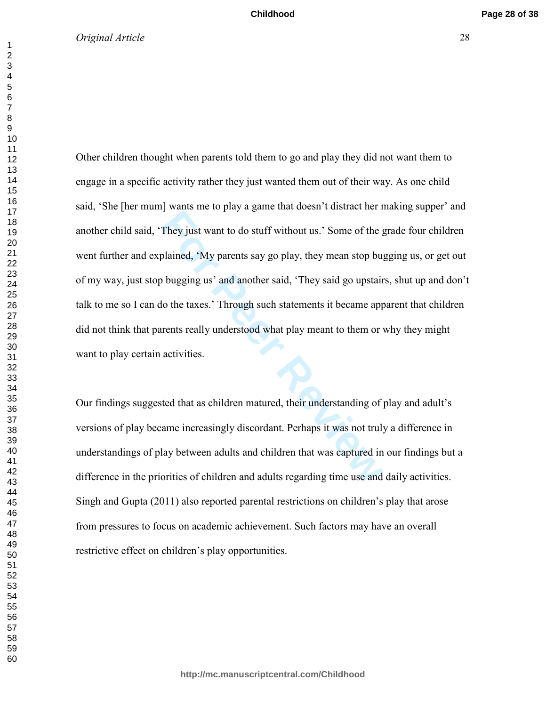They just want to do stuff without us.' Some of the golalined, 'My parents say go play, they mean stop bu<sub>i</sub> bugging us' and another said, 'They said go upstair lo the taxes.' Through such statements it became apprents rea Other children thought when parents told them to go and play they did not want them to engage in a specific activity rather they just wanted them out of their way. As one child said, 'She [her mum] wants me to play a game that doesn't distract her making supper' and another child said, 'They just want to do stuff without us.' Some of the grade four children went further and explained, 'My parents say go play, they mean stop bugging us, or get out of my way, just stop bugging us' and another said, 'They said go upstairs, shut up and don't talk to me so I can do the taxes.' Through such statements it became apparent that children did not think that parents really understood what play meant to them or why they might want to play certain activities.

Our findings suggested that as children matured, their understanding of play and adult's versions of play became increasingly discordant. Perhaps it was not truly a difference in understandings of play between adults and children that was captured in our findings but a difference in the priorities of children and adults regarding time use and daily activities. Singh and Gupta (2011) also reported parental restrictions on children's play that arose from pressures to focus on academic achievement. Such factors may have an overall restrictive effect on children's play opportunities.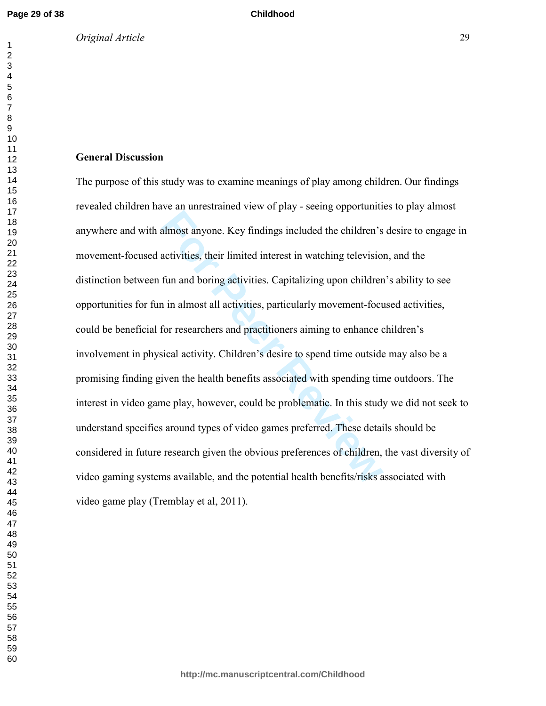## **General Discussion**

almost anyone. Key findings included the children's<br>activities, their limited interest in watching television<br>fun and boring activities. Capitalizing upon children<br>in almost all activities, particularly movement-foct<br>for r The purpose of this study was to examine meanings of play among children. Our findings revealed children have an unrestrained view of play - seeing opportunities to play almost anywhere and with almost anyone. Key findings included the children's desire to engage in movement-focused activities, their limited interest in watching television, and the distinction between fun and boring activities. Capitalizing upon children's ability to see opportunities for fun in almost all activities, particularly movement-focused activities, could be beneficial for researchers and practitioners aiming to enhance children's involvement in physical activity. Children's desire to spend time outside may also be a promising finding given the health benefits associated with spending time outdoors. The interest in video game play, however, could be problematic. In this study we did not seek to understand specifics around types of video games preferred. These details should be considered in future research given the obvious preferences of children, the vast diversity of video gaming systems available, and the potential health benefits/risks associated with video game play (Tremblay et al, 2011).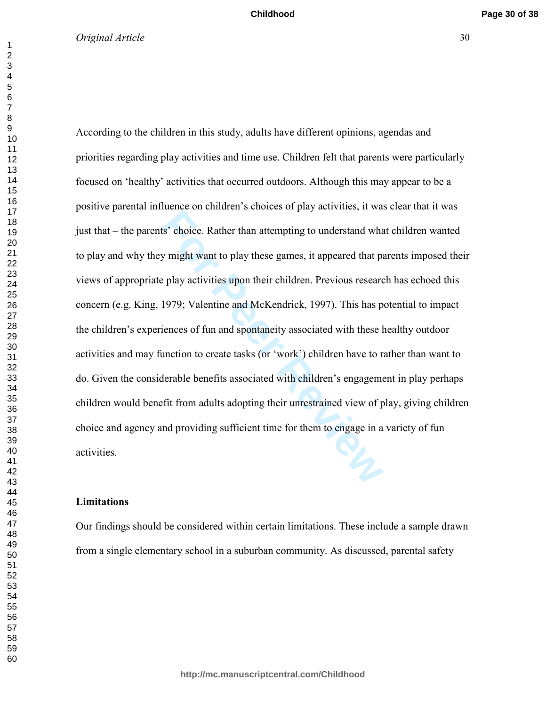Is' choice. Rather than attempting to understand what<br>y might want to play these games, it appeared that parallel with perplay activities upon their children. Previous researce<br>1979; Valentine and McKendrick, 1997). This h According to the children in this study, adults have different opinions, agendas and priorities regarding play activities and time use. Children felt that parents were particularly focused on 'healthy' activities that occurred outdoors. Although this may appear to be a positive parental influence on children's choices of play activities, it was clear that it was just that – the parents' choice. Rather than attempting to understand what children wanted to play and why they might want to play these games, it appeared that parents imposed their views of appropriate play activities upon their children. Previous research has echoed this concern (e.g. King, 1979; Valentine and McKendrick, 1997). This has potential to impact the children's experiences of fun and spontaneity associated with these healthy outdoor activities and may function to create tasks (or 'work') children have to rather than want to do. Given the considerable benefits associated with children's engagement in play perhaps children would benefit from adults adopting their unrestrained view of play, giving children choice and agency and providing sufficient time for them to engage in a variety of fun activities.

# **Limitations**

Our findings should be considered within certain limitations. These include a sample drawn from a single elementary school in a suburban community. As discussed, parental safety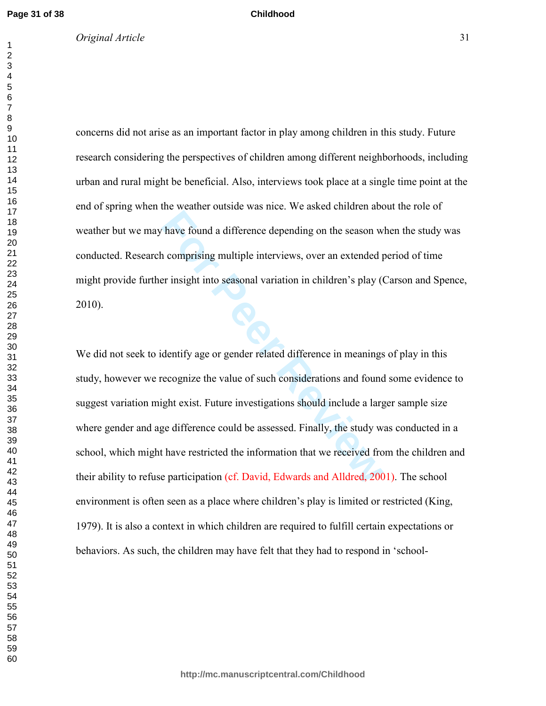concerns did not arise as an important factor in play among children in this study. Future research considering the perspectives of children among different neighborhoods, including urban and rural might be beneficial. Also, interviews took place at a single time point at the end of spring when the weather outside was nice. We asked children about the role of weather but we may have found a difference depending on the season when the study was conducted. Research comprising multiple interviews, over an extended period of time might provide further insight into seasonal variation in children's play (Carson and Spence, 2010).

**Childhood**

The Found a difference depending on the season w<br> **For Peer Review Computer**<br> **For Peer Season and Season and Season W**<br> **For Peer Seasonal variation in children's play (**<br> **Peer Insight into seasonal variation in children** We did not seek to identify age or gender related difference in meanings of play in this study, however we recognize the value of such considerations and found some evidence to suggest variation might exist. Future investigations should include a larger sample size where gender and age difference could be assessed. Finally, the study was conducted in a school, which might have restricted the information that we received from the children and their ability to refuse participation (cf. David, Edwards and Alldred, 2001). The school environment is often seen as a place where children's play is limited or restricted (King, 1979). It is also a context in which children are required to fulfill certain expectations or behaviors. As such, the children may have felt that they had to respond in 'school-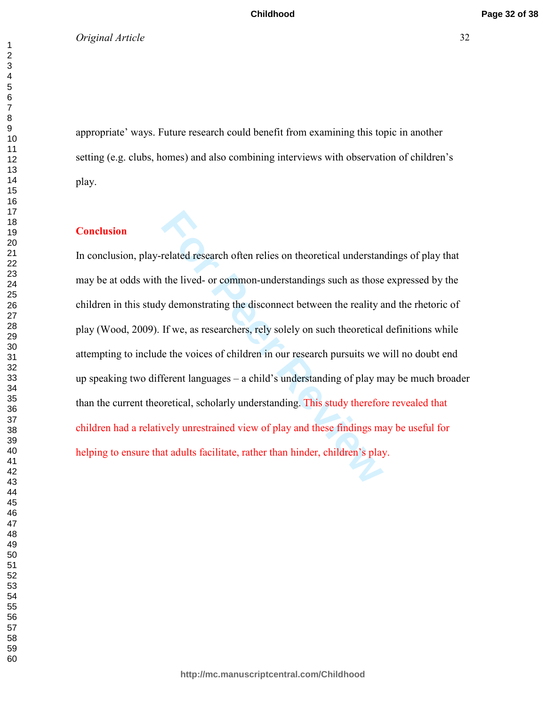**Childhood**

# *Original Article* 32

appropriate' ways. Future research could benefit from examining this topic in another setting (e.g. clubs, homes) and also combining interviews with observation of children's play.

# **Conclusion**

related research often relies on theoretical understan<br>the lived- or common-understandings such as those<br>y demonstrating the disconnect between the reality a<br>If we, as researchers, rely solely on such theoretical<br>e the voi In conclusion, play-related research often relies on theoretical understandings of play that may be at odds with the lived- or common-understandings such as those expressed by the children in this study demonstrating the disconnect between the reality and the rhetoric of play (Wood, 2009). If we, as researchers, rely solely on such theoretical definitions while attempting to include the voices of children in our research pursuits we will no doubt end up speaking two different languages – a child's understanding of play may be much broader than the current theoretical, scholarly understanding. This study therefore revealed that children had a relatively unrestrained view of play and these findings may be useful for helping to ensure that adults facilitate, rather than hinder, children's play.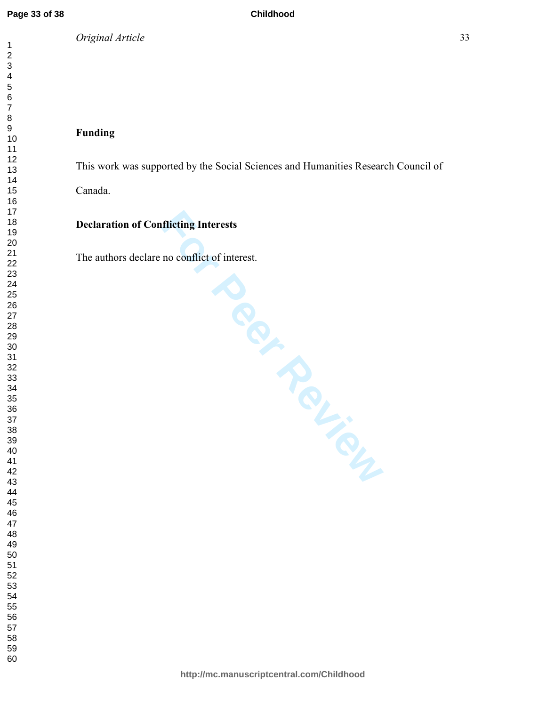This work was supported by the Social Sciences and Humanities Research Council of

Canada.

# **Declaration of Conflicting Interests**

The authors declare no conflict of interest.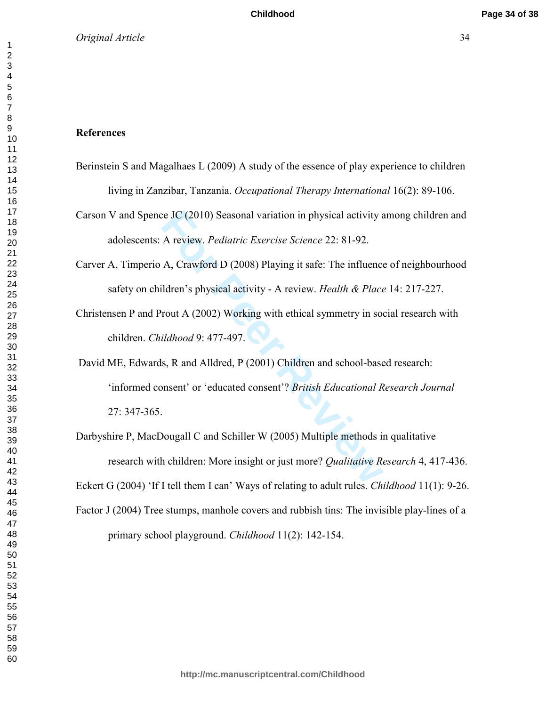#### **References**

- Berinstein S and Magalhaes L (2009) A study of the essence of play experience to children living in Zanzibar, Tanzania. *Occupational Therapy International* 16(2): 89-106.
- Carson V and Spence JC (2010) Seasonal variation in physical activity among children and adolescents: A review. *Pediatric Exercise Science* 22: 81-92.
- Carver A, Timperio A, Crawford D (2008) Playing it safe: The influence of neighbourhood safety on children's physical activity - A review. *Health & Place* 14: 217-227.
- Christensen P and Prout A (2002) Working with ethical symmetry in social research with children. *Childhood* 9: 477-497.
- Exercise Science 22: 81-92.<br>
A review. *Pediatric Exercise Science* 22: 81-92.<br>
A, Crawford D (2008) Playing it safe: The influence<br>
ildren's physical activity A review. *Health & Place*<br>
rout A (2002) Working with ethic David ME, Edwards, R and Alldred, P (2001) Children and school-based research: 'informed consent' or 'educated consent'? *British Educational Research Journal* 27: 347-365.
- Darbyshire P, MacDougall C and Schiller W (2005) Multiple methods in qualitative research with children: More insight or just more? *Qualitative Research* 4, 417-436. Eckert G (2004) 'If I tell them I can' Ways of relating to adult rules. *Childhood* 11(1): 9-26. Factor J (2004) Tree stumps, manhole covers and rubbish tins: The invisible play-lines of a primary school playground. *Childhood* 11(2): 142-154.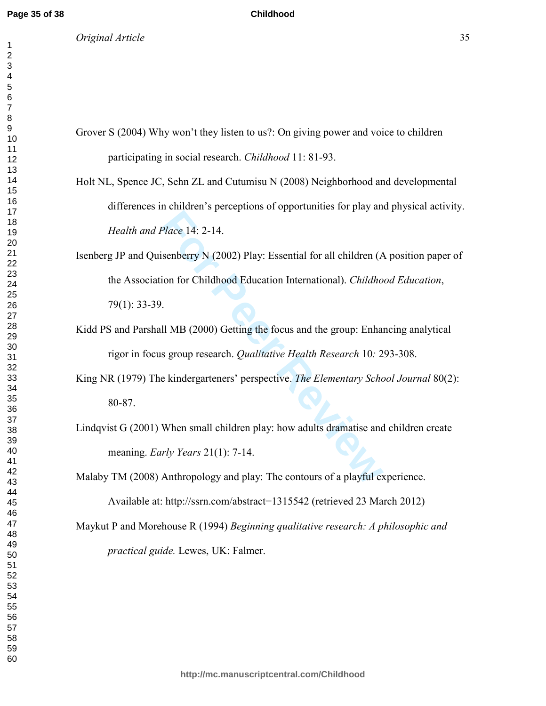*Original Article* 35

**Childhood**

Grover S (2004) Why won't they listen to us?: On giving power and voice to children participating in social research. *Childhood* 11: 81-93.

Holt NL, Spence JC, Sehn ZL and Cutumisu N (2008) Neighborhood and developmental differences in children's perceptions of opportunities for play and physical activity. *Health and Place* 14: 2-14.

Place 14: 2-14.<br>
Senberry N (2002) Play: Essential for all children (*A*<br>
ion for Childhood Education International). *Childho*<br>
.<br>
Il MB (2000) Getting the focus and the group: Enhans<br>
s group research. *Qualitative Healt* Isenberg JP and Quisenberry N (2002) Play: Essential for all children (A position paper of the Association for Childhood Education International). *Childhood Education*, 79(1): 33-39.

Kidd PS and Parshall MB (2000) Getting the focus and the group: Enhancing analytical rigor in focus group research. *Qualitative Health Research* 10*:* 293-308.

King NR (1979) The kindergarteners' perspective. *The Elementary School Journal* 80(2): 80-87.

Lindqvist G (2001) When small children play: how adults dramatise and children create meaning. *Early Years* 21(1): 7-14.

Malaby TM (2008) Anthropology and play: The contours of a playful experience. Available at: http://ssrn.com/abstract=1315542 (retrieved 23 March 2012)

Maykut P and Morehouse R (1994) *Beginning qualitative research: A philosophic and practical guide.* Lewes, UK: Falmer.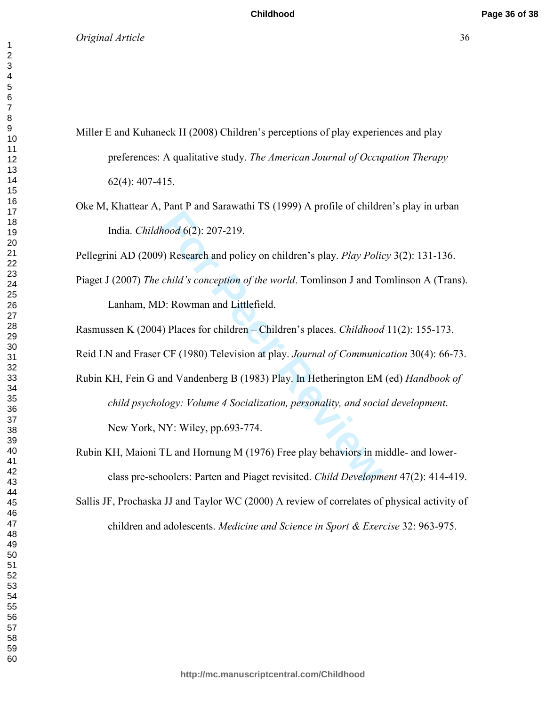- Miller E and Kuhaneck H (2008) Children's perceptions of play experiences and play preferences: A qualitative study. *The American Journal of Occupation Therapy* 62(4): 407-415.
- Oke M, Khattear A, Pant P and Sarawathi TS (1999) A profile of children's play in urban India. *Childhood* 6(2): 207-219.

Pellegrini AD (2009) Research and policy on children's play. *Play Policy* 3(2): 131-136.

Piaget J (2007) *The child's conception of the world*. Tomlinson J and Tomlinson A (Trans).

Lanham, MD: Rowman and Littlefield.

Rasmussen K (2004) Places for children – Children's places. *Childhood* 11(2): 155-173.

Reid LN and Fraser CF (1980) Television at play. *Journal of Communication* 30(4): 66-73.

- Final and summan control of the state and solution<br>(hood 6(2): 207-219.<br>
(hood 6(2): 207-219.<br>
(hild's conception of the world. Tomlinson J and To<br>
(hild's conception of the world. Tomlinson J and To<br>
(hild's conception of Rubin KH, Fein G and Vandenberg B (1983) Play. In Hetherington EM (ed) *Handbook of child psychology: Volume 4 Socialization, personality, and social development*. New York, NY: Wiley, pp.693-774.
- Rubin KH, Maioni TL and Hornung M (1976) Free play behaviors in middle- and lowerclass pre-schoolers: Parten and Piaget revisited. *Child Development* 47(2): 414-419.
- Sallis JF, Prochaska JJ and Taylor WC (2000) A review of correlates of physical activity of children and adolescents. *Medicine and Science in Sport & Exercise* 32: 963-975.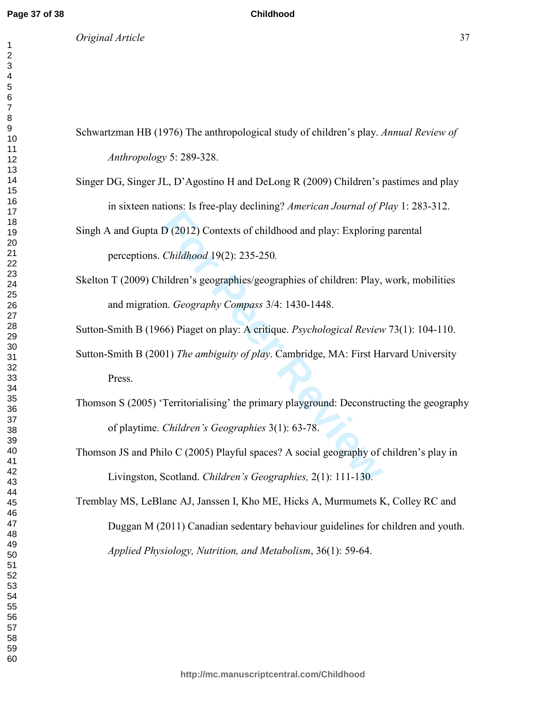*Original Article* 37

#### **Childhood**

Schwartzman HB (1976) The anthropological study of children's play. *Annual Review of Anthropology* 5: 289-328.

- Singer DG, Singer JL, D'Agostino H and DeLong R (2009) Children's pastimes and play in sixteen nations: Is free-play declining? *American Journal of Play* 1: 283-312.
- Singh A and Gupta D (2012) Contexts of childhood and play: Exploring parental perceptions. *Childhood* 19(2): 235-250*.*
- Skelton T (2009) Children's geographies/geographies of children: Play, work, mobilities and migration. *Geography Compass* 3/4: 1430-1448.

Sutton-Smith B (1966) Piaget on play: A critique. *Psychological Review* 73(1): 104-110.

Sutton-Smith B (2001) *The ambiguity of play*. Cambridge, MA: First Harvard University Press.

- **Exploring Channing Contexts of childhood and play:** Exploring Childhood 19(2): 235-250.<br>
For Peer Review Secographies (geographies of children: Play, n. *Geography Compass 3/4*: 1430-1448.<br> **For Peer Review Constructs** Co Thomson S (2005) 'Territorialising' the primary playground: Deconstructing the geography of playtime. *Children's Geographies* 3(1): 63-78.
- Thomson JS and Philo C (2005) Playful spaces? A social geography of children's play in Livingston, Scotland. *Children's Geographies,* 2(1): 111-130.

Tremblay MS, LeBlanc AJ, Janssen I, Kho ME, Hicks A, Murmumets K, Colley RC and Duggan M (2011) Canadian sedentary behaviour guidelines for children and youth. *Applied Physiology, Nutrition, and Metabolism*, 36(1): 59-64.